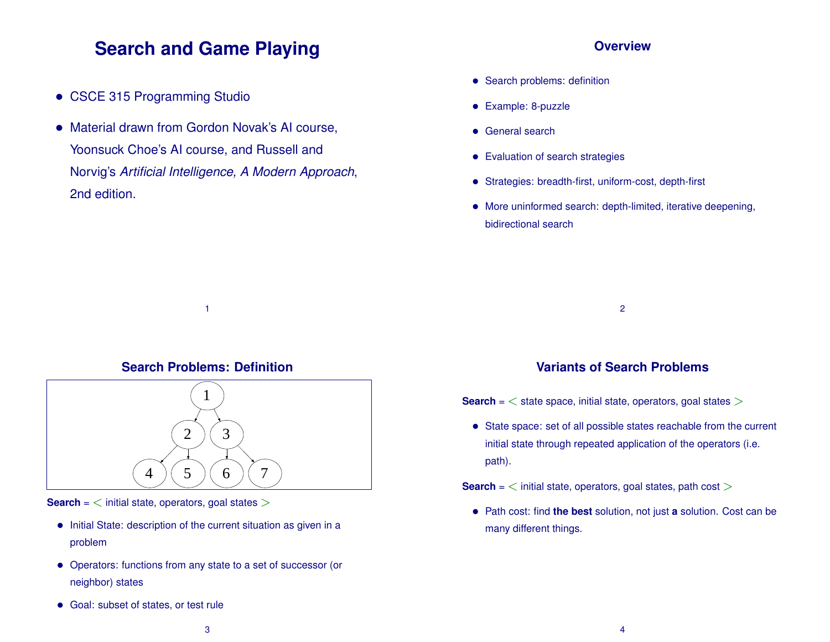# **Search and Game Playing**

- CSCE 315 Programming Studio
- Material drawn from Gordon Novak's AI course, Yoonsuck Choe's AI course, and Russell and Norvig's *Artificial Intelligence, A Modern Approach*, 2nd edition.

#### **Overview**

- Search problems: definition
- Example: 8-puzzle
- General search
- Evaluation of search strategies
- Strategies: breadth-first, uniform-cost, depth-first
- More uninformed search: depth-limited, iterative deepening, bidirectional search

2

#### **Search Problems: Definition**

1



**Search** = < initial state, operators, goal states >

- Initial State: description of the current situation as given in a problem
- Operators: functions from any state to a set of successor (or neighbor) states
- Goal: subset of states, or test rule

# **Variants of Search Problems**

**Search** =  $\lt$  state space, initial state, operators, goal states  $\gt$ 

• State space: set of all possible states reachable from the current initial state through repeated application of the operators (i.e. path).

**Search** =  $\lt$  initial state, operators, goal states, path cost  $\gt$ 

• Path cost: find **the best** solution, not just **<sup>a</sup>** solution. Cost can be many different things.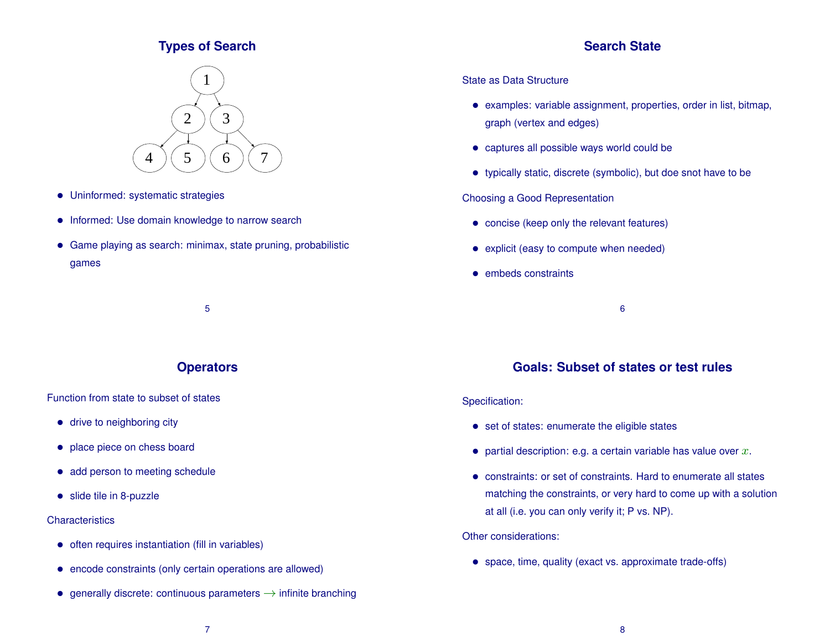# **Types of Search**





- Uninformed: systematic strategies
- Informed: Use domain knowledge to narrow search
- Game playing as search: minimax, state pruning, probabilistic games

5

# **Operators**

Function from state to subset of states

- drive to neighboring city
- place piece on chess board
- add person to meeting schedule
- slide tile in 8-puzzle

#### **Characteristics**

- often requires instantiation (fill in variables)
- encode constraints (only certain operations are allowed)
- generally discrete: continuous parameters  $\rightarrow$  infinite branching

#### State as Data Structure

- examples: variable assignment, properties, order in list, bitmap, graph (vertex and edges)
- captures all possible ways world could be
- typically static, discrete (symbolic), but doe snot have to be

Choosing a Good Representation

- concise (keep only the relevant features)
- explicit (easy to compute when needed)
- embeds constraints

6

# **Goals: Subset of states or test rules**

#### Specification:

- set of states: enumerate the eligible states
- partial description: e.g. a certain variable has value over  $x$ .
- constraints: or set of constraints. Hard to enumerate all states matching the constraints, or very hard to come up with a solution at all (i.e. you can only verify it; P vs. NP).

Other considerations:

• space, time, quality (exact vs. approximate trade-offs)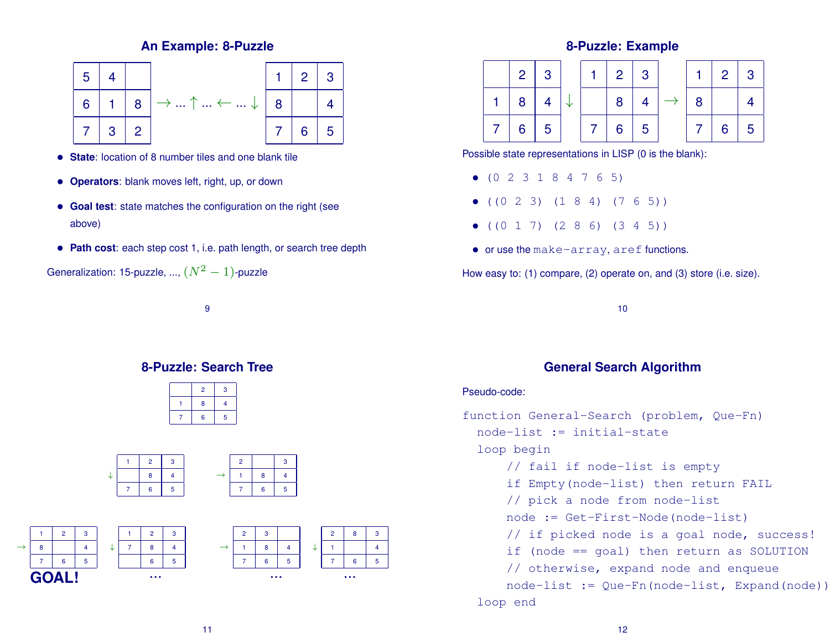# **An Example: 8-Puzzle**



- **State**: location of 8 number tiles and one blank tile
- **Operators**: blank moves left, right, up, or down
- **Goal test**: state matches the configuration on the right (see above)
- **Path cost**: each step cost 1, i.e. path length, or search tree depth

Generalization: 15-puzzle, ...,  $(N^2-1)$ -puzzle

9

# **8-Puzzle: Search Tree**

|  | $\overline{2}$ | 3 |
|--|----------------|---|
|  | 8              | 4 |
|  | 6              | 5 |



# **8-Puzzle: Example**

8 4





Possible state representations in LISP (0 is the blank):

- (0 2 3 1 8 4 7 6 5)
- $\bullet$  ((0 2 3) (1 8 4) (7 6 5))
- $\bullet$  ((0 1 7) (2 8 6) (3 4 5))
- or use the make-array, aref functions.

How easy to: (1) compare, (2) operate on, and (3) store (i.e. size).

10

# **General Search Algorithm**

#### Pseudo-code:

function General-Search (problem, Que-Fn) node-list := initial-state loop begin // fail if node-list is empty if Empty(node-list) then return FAIL // pick a node from node-list node := Get-First-Node(node-list) // if picked node is a goal node, success! if (node == goal) then return as SOLUTION // otherwise, expand node and enqueue node-list := Que-Fn(node-list, Expand(node)) loop end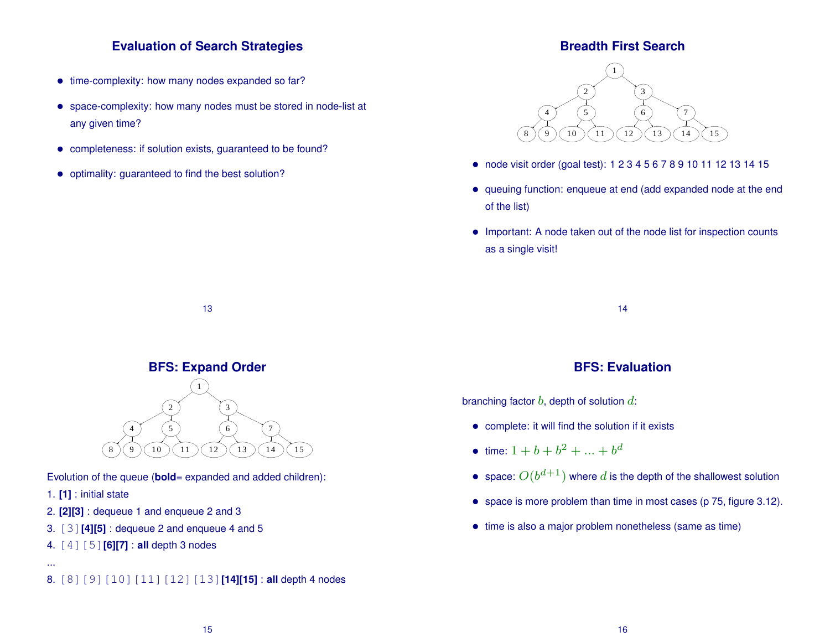# **Evaluation of Search Strategies**

- time-complexity: how many nodes expanded so far?
- space-complexity: how many nodes must be stored in node-list at any given time?
- completeness: if solution exists, guaranteed to be found?
- optimality: guaranteed to find the best solution?

### **Breadth First Search**



- node visit order (goal test): 1 2 3 4 5 6 7 8 9 10 11 12 13 14 15
- queuing function: enqueue at end (add expanded node at the end of the list)
- Important: A node taken out of the node list for inspection counts as a single visit!

14

# **BFS: Expand Order**

13



Evolution of the queue (**bold**= expanded and added children):

1. **[1]** : initial state

- 2. **[2][3]** : dequeue 1 and enqueue 2 and 3
- 3. [3]**[4][5]** : dequeue 2 and enqueue 4 and 5
- 4. [4][5]**[6][7]** : **all** depth 3 nodes

...

8. [8][9][10][11][12][13]**[14][15]** : **all** depth 4 nodes

# **BFS: Evaluation**

branching factor  $b$ , depth of solution  $d$ :

- complete: it will find the solution if it exists
- time:  $1 + b + b^2 + ... + b^d$
- space:  $O(b^{d+1})$  where  $d$  is the depth of the shallowest solution
- space is more problem than time in most cases (p 75, figure 3.12).
- time is also a major problem nonetheless (same as time)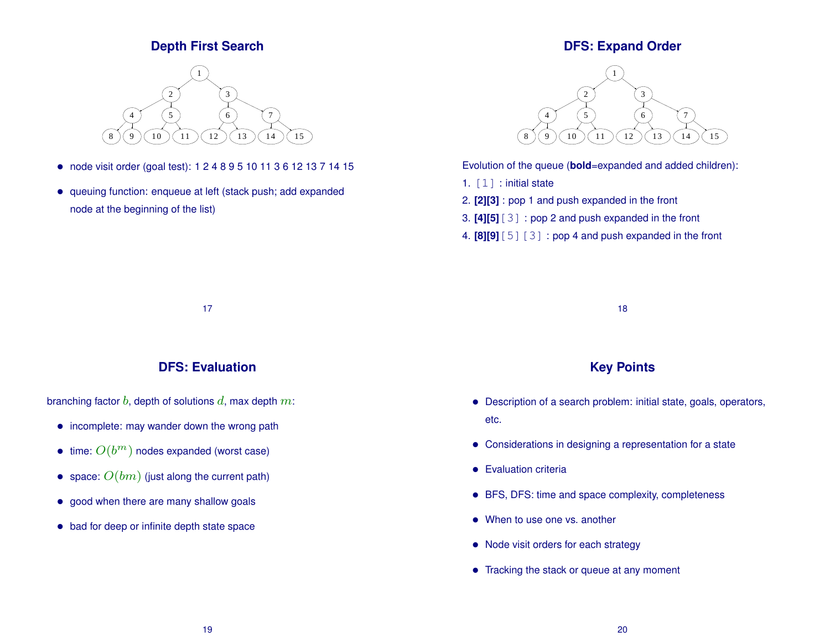# **Depth First Search**



- node visit order (goal test): 1 2 4 8 9 5 10 11 3 6 12 13 7 14 15
- queuing function: enqueue at left (stack push; add expanded node at the beginning of the list)

# **DFS: Expand Order**



Evolution of the queue (**bold**=expanded and added children):

- 1. [1] : initial state
- 2. **[2][3]** : pop 1 and push expanded in the front
- 3. **[4][5]**[3] : pop 2 and push expanded in the front
- 4. **[8][9]**[5][3] : pop 4 and push expanded in the front

17

## **DFS: Evaluation**

branching factor  $b$ , depth of solutions  $d$ , max depth  $m$ :

- incomplete: may wander down the wrong path
- $\bullet\,$  time:  $O(b^m)$  nodes expanded (worst case)
- space:  $O(bm)$  (just along the current path)
- good when there are many shallow goals
- bad for deep or infinite depth state space

18

## **Key Points**

- Description of a search problem: initial state, goals, operators, etc.
- Considerations in designing a representation for a state
- Evaluation criteria
- BFS, DFS: time and space complexity, completeness
- When to use one vs. another
- Node visit orders for each strategy
- Tracking the stack or queue at any moment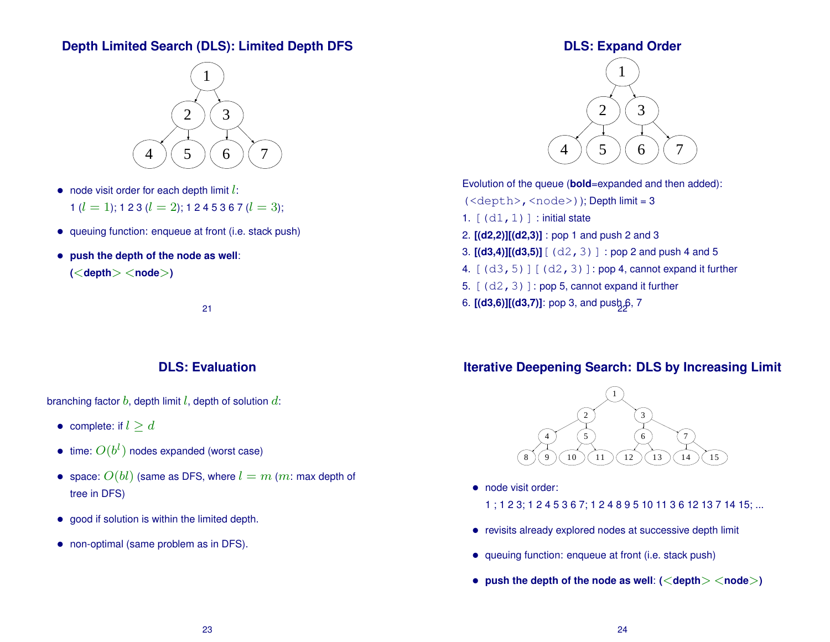# **Depth Limited Search (DLS): Limited Depth DFS**



- node visit order for each depth limit  $l$ :
	- 1 ( $l = 1$ ); 1 2 3 ( $l = 2$ ); 1 2 4 5 3 6 7 ( $l = 3$ );
- queuing function: enqueue at front (i.e. stack push)
- **push the depth of the node as well**: **(**<**depth**> <**node**>**)**

21

## **DLS: Evaluation**

branching factor  $b$ , depth limit  $l$ , depth of solution  $d$ :

- complete: if  $l \geq d$
- $\bullet\,$  time:  $O(b^l)$  nodes expanded (worst case)
- space:  $O(bl)$  (same as DFS, where  $l = m$  (m: max depth of tree in DFS)
- good if solution is within the limited depth.
- non-optimal (same problem as in DFS).

# **DLS: Expand Order**



Evolution of the queue (**bold**=expanded and then added): (<depth>,<node>)); Depth limit = 3 1.  $[(d1,1)]$  : initial state

- 2. **[(d2,2)][(d2,3)]** : pop 1 and push 2 and 3
- 3.  $[(d3,4)][(d3,5)] [ (d2,3)]$  : pop 2 and push 4 and 5
- 4.  $[(d3,5)][(d2,3)]$ : pop 4, cannot expand it further
- 5.  $[(d2,3)]$ : pop 5, cannot expand it further
- 6. **[(d3,6)][(d3,7)]**: pop 3, and pus $b_2$ 6, 7

# **Iterative Deepening Search: DLS by Increasing Limit**



- node visit order:
	- 1 ; 1 2 3; 1 2 4 5 3 6 7; 1 2 4 8 9 5 10 11 3 6 12 13 7 14 15; ...
- revisits already explored nodes at successive depth limit
- queuing function: enqueue at front (i.e. stack push)
- **push the depth of the node as well**: **(**<**depth**> <**node**>**)**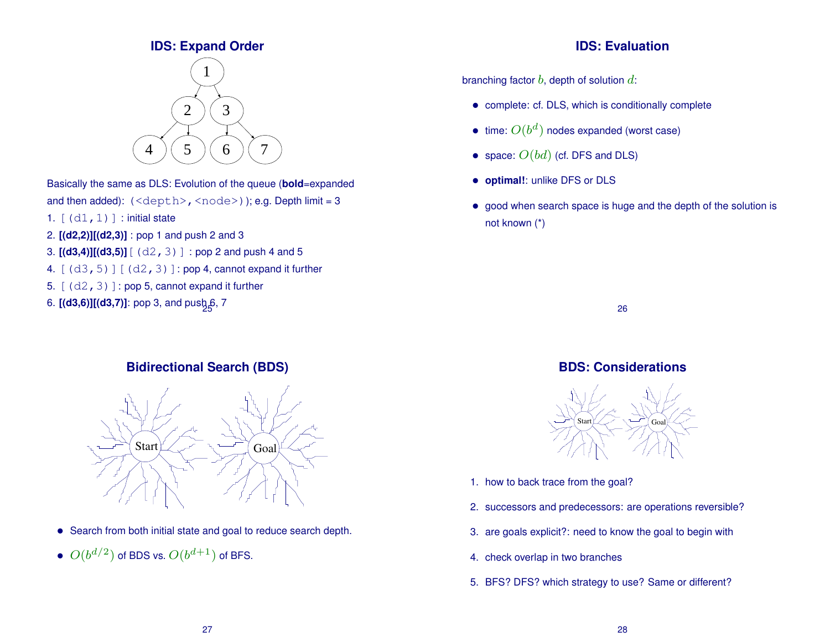# **IDS: Expand Order**



Basically the same as DLS: Evolution of the queue (**bold**=expanded and then added):  $(\langle depth \rangle, \langle node \rangle)$ ; e.g. Depth limit = 3

- 1.  $[(d1,1)]$  : initial state
- 2. **[(d2,2)][(d2,3)]** : pop 1 and push 2 and 3
- 3.  $[(d3,4)][(d3,5)]$   $[(d2,3)]$  : pop 2 and push 4 and 5
- 4.  $[(d3,5)][(d2,3)]$ : pop 4, cannot expand it further
- 5.  $[(d2,3)]$ : pop 5, cannot expand it further
- 6. **[(d3,6)][(d3,7)]**: pop 3, and pus $b_2$ 6, 7

# **Bidirectional Search (BDS)**



- Search from both initial state and goal to reduce search depth.
- $\bullet$   $O(b^{d/2})$  of BDS vs.  $O(b^{d+1})$  of BFS.

### **IDS: Evaluation**

branching factor  $b$ , depth of solution  $d$ :

- complete: cf. DLS, which is conditionally complete
- time:  $O(b^d)$  nodes expanded (worst case)
- space:  $O(bd)$  (cf. DFS and DLS)
- **optimal!**: unlike DFS or DLS
- good when search space is huge and the depth of the solution is not known (\*)

26

# **BDS: Considerations**



- 1. how to back trace from the goal?
- 2. successors and predecessors: are operations reversible?
- 3. are goals explicit?: need to know the goal to begin with
- 4. check overlap in two branches
- 5. BFS? DFS? which strategy to use? Same or different?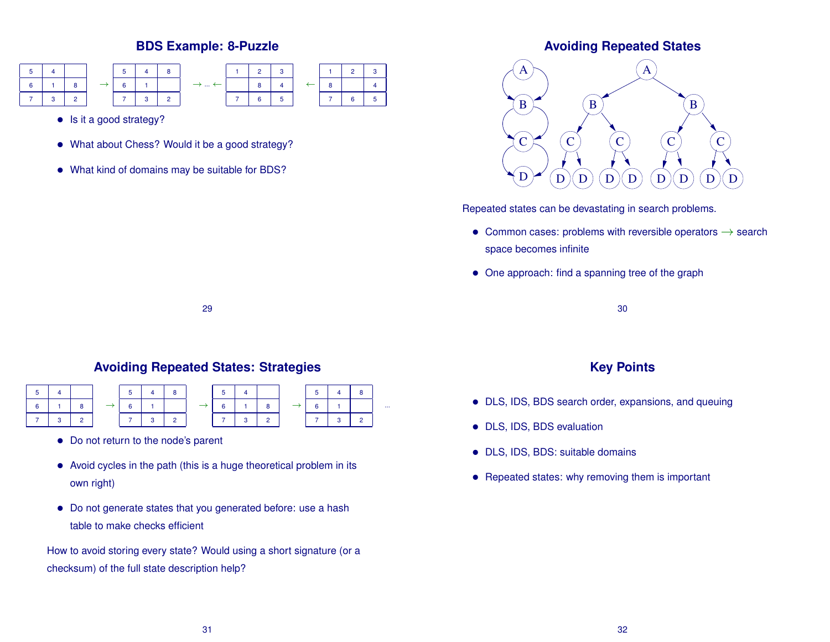# **BDS Example: 8-Puzzle**



- Is it a good strategy?
- What about Chess? Would it be a good strategy?
- What kind of domains may be suitable for BDS?

### **Avoiding Repeated States**



Repeated states can be devastating in search problems.

- Common cases: problems with reversible operators  $\rightarrow$  search space becomes infinite
- One approach: find a spanning tree of the graph

29

# **Avoiding Repeated States: Strategies**

|  |  | 5              |   |  | 5 |  | 5 <sup>1</sup> |  |          |
|--|--|----------------|---|--|---|--|----------------|--|----------|
|  |  | A.             |   |  |   |  | 6.             |  | $\cdots$ |
|  |  | $\overline{7}$ | ٩ |  |   |  | $\overline{7}$ |  |          |

- Do not return to the node's parent
- Avoid cycles in the path (this is a huge theoretical problem in its own right)
- Do not generate states that you generated before: use a hash table to make checks efficient

How to avoid storing every state? Would using a short signature (or a checksum) of the full state description help?

30

### **Key Points**

- DLS, IDS, BDS search order, expansions, and queuing
- DLS, IDS, BDS evaluation
- DLS, IDS, BDS: suitable domains
- Repeated states: why removing them is important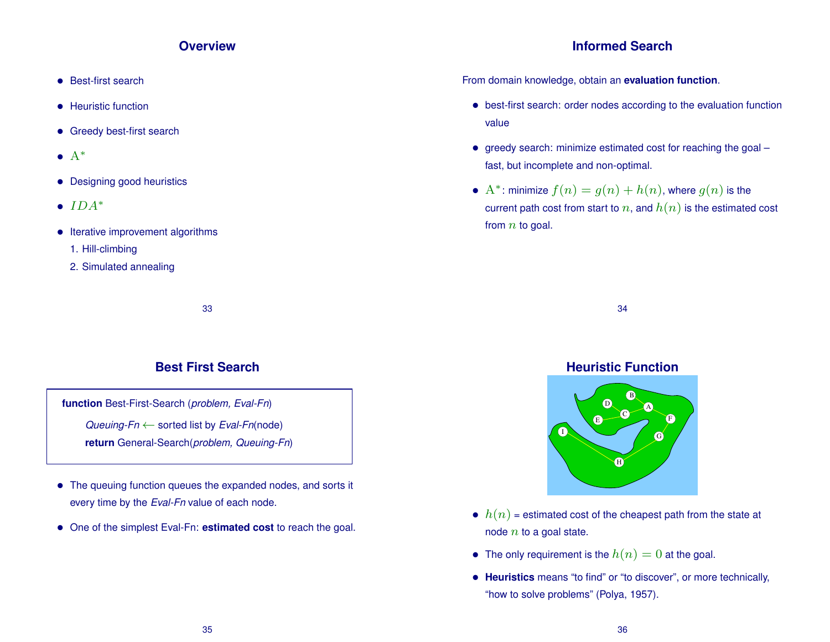### **Overview**

- Best-first search
- Heuristic function
- Greedy best-first search
- $\bullet$   $A^*$
- Designing good heuristics
- $IDA^*$
- Iterative improvement algorithms
	- 1. Hill-climbing
	- 2. Simulated annealing

33

# **Best First Search**

**function** Best-First-Search (*problem, Eval-Fn*) *Queuing-Fn* ← sorted list by *Eval-Fn*(node) **return** General-Search(*problem, Queuing-Fn*)

- The queuing function queues the expanded nodes, and sorts it every time by the *Eval-Fn* value of each node.
- One of the simplest Eval-Fn: **estimated cost** to reach the goal.

# **Informed Search**

From domain knowledge, obtain an **evaluation function**.

- best-first search: order nodes according to the evaluation function value
- greedy search: minimize estimated cost for reaching the goal fast, but incomplete and non-optimal.
- A<sup>\*</sup>: minimize  $f(n) = g(n) + h(n)$ , where  $g(n)$  is the current path cost from start to n, and  $h(n)$  is the estimated cost from  $n$  to goal.

34

#### **Heuristic Function**  $A$ ) B) a  $\mathsf{C}\mathsf{C}$  $_{\rm E}$   $\sim$ I  $H$ ) – G), F) D)

- $h(n)$  = estimated cost of the cheapest path from the state at node  $n$  to a goal state.
- The only requirement is the  $h(n) = 0$  at the goal.
- **Heuristics** means "to find" or "to discover", or more technically, "how to solve problems" (Polya, 1957).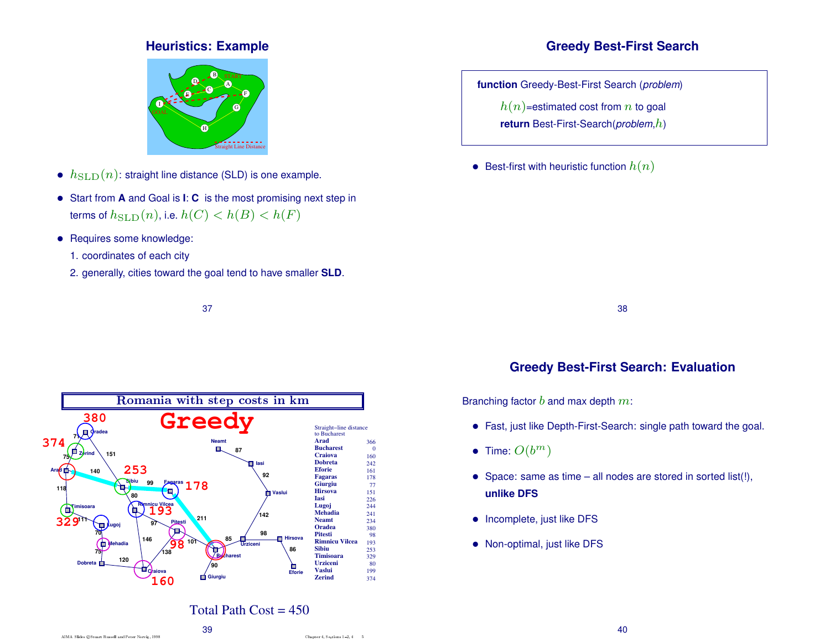# **Heuristics: Example**



- $h_{\text{SLD}}(n)$ : straight line distance (SLD) is one example.
- Start from **<sup>A</sup>** and Goal is **<sup>I</sup>**: **<sup>C</sup>** is the most promising next step in terms of  $h_{\text{SLD}}(n)$ , i.e.  $h(C) < h(B) < h(F)$
- Requires some knowledge:
	- 1. coordinates of each city
	- 2. generally, cities toward the goal tend to have smaller **SLD**.



# **Greedy Best-First Search**

**function** Greedy-Best-First Search (*problem*)

 $h(n)$ =estimated cost from n to goal

**return** Best-First-Search(*problem*,h)

• Best-first with heuristic function  $h(n)$ 

38

# **Greedy Best-First Search: Evaluation**

Branching factor  $b$  and max depth  $m\!\!$  :

- Fast, just like Depth-First-Search: single path toward the goal.
- Time:  $O(b^m)$
- Space: same as time all nodes are stored in sorted list(!), **unlike DFS**
- Incomplete, just like DFS
- Non-optimal, just like DFS

# Total Path  $Cost = 450$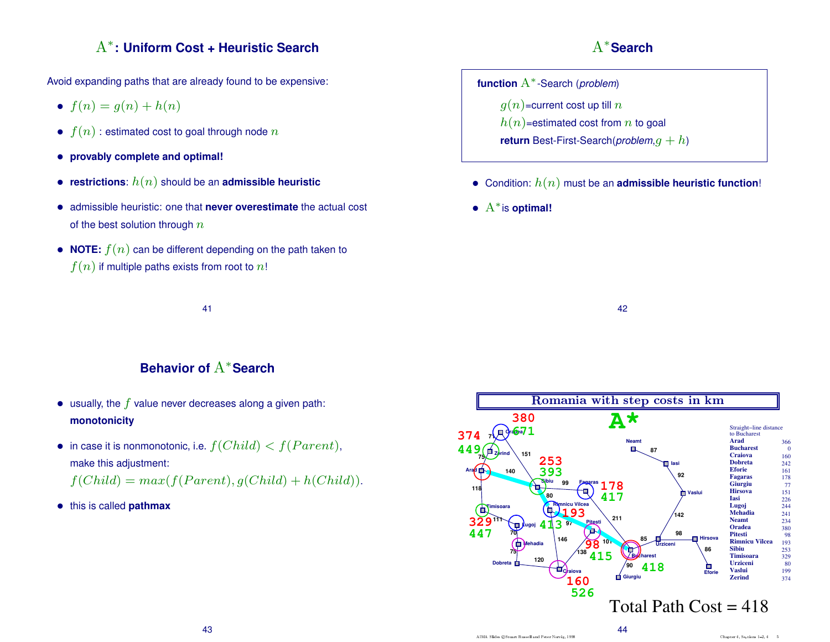# A<sup>∗</sup> **: Uniform Cost + Heuristic Search**

Avoid expanding paths that are already found to be expensive:

- $f(n) = g(n) + h(n)$
- $f(n)$ : estimated cost to goal through node n
- **provably complete and optimal!**
- **restrictions**:  $h(n)$  should be an **admissible heuristic**
- admissible heuristic: one that **never overestimate** the actual cost of the best solution through  $n$
- **NOTE:**  $f(n)$  can be different depending on the path taken to  $f(n)$  if multiple paths exists from root to n!

41

A<sup>∗</sup> **Search**

**function** A∗-Search (*problem*)  $g(n)$ =current cost up till n  $h(n)$ =estimated cost from n to goal **return** Best-First-Search(*problem*,g + h)

- Condition:  $h(n)$  must be an **admissible heuristic function!**
- A∗is **optimal!**

42

# **Behavior of** A<sup>∗</sup> **Search**

- usually, the  $f$  value never decreases along a given path: **monotonicity**
- in case it is nonmonotonic, i.e.  $f(Child) < f(Parent)$ , make this adjustment:

$$
f(Child) = max(f(Parent), g(Child) + h(Child)).
$$

• this is called **pathmax**

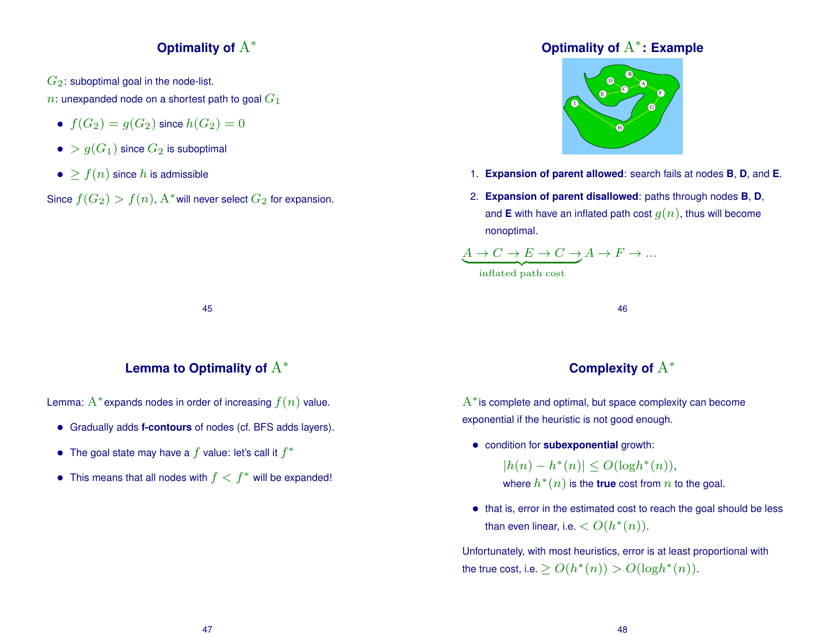# **Optimality of** A<sup>∗</sup>

 $G_2$ : suboptimal goal in the node-list.

n: unexpanded node on a shortest path to goal  $G_1$ 

- $f(G_2) = g(G_2)$  since  $h(G_2) = 0$
- $\bullet > g(G_1)$  since  $G_2$  is suboptimal
- $\bullet$  >  $f(n)$  since h is admissible

Since  $f(G_2)>f(n)$ ,  $\mathrm{A}^*$ will never select  $G_2$  for expansion.

# **Optimality of** A<sup>∗</sup> **: Example**



- 1. **Expansion of parent allowed**: search fails at nodes **B**, **D**, and **E**.
- 2. **Expansion of parent disallowed**: paths through nodes **B**, **D**, and **E** with have an inflated path cost  $q(n)$ , thus will become nonoptimal.

$$
\underbrace{A \to C \to E \to C \to A \to F \to \dots}_{\text{in fixed order}}
$$

{z inflated path cost

45

# **Lemma to Optimality of** A<sup>∗</sup>

Lemma:  $A^*$  expands nodes in order of increasing  $f(n)$  value.

- Gradually adds **f-contours** of nodes (cf. BFS adds layers).
- The goal state may have a  $f$  value: let's call it  $f^*$
- This means that all nodes with  $f < f^*$  will be expanded!

# **Complexity of** A<sup>∗</sup>

46

 $A^*$  is complete and optimal, but space complexity can become exponential if the heuristic is not good enough.

• condition for **subexponential** growth:

 $|h(n) - h^{*}(n)| \leq O(\log h^{*}(n)),$ where  $h^*(n)$  is the **true** cost from  $n$  to the goal.

• that is, error in the estimated cost to reach the goal should be less than even linear, i.e.  $< O(h^*(n)).$ 

Unfortunately, with most heuristics, error is at least proportional with the true cost, i.e.  $\geq O(h^*(n)) > O(\log h^*(n)).$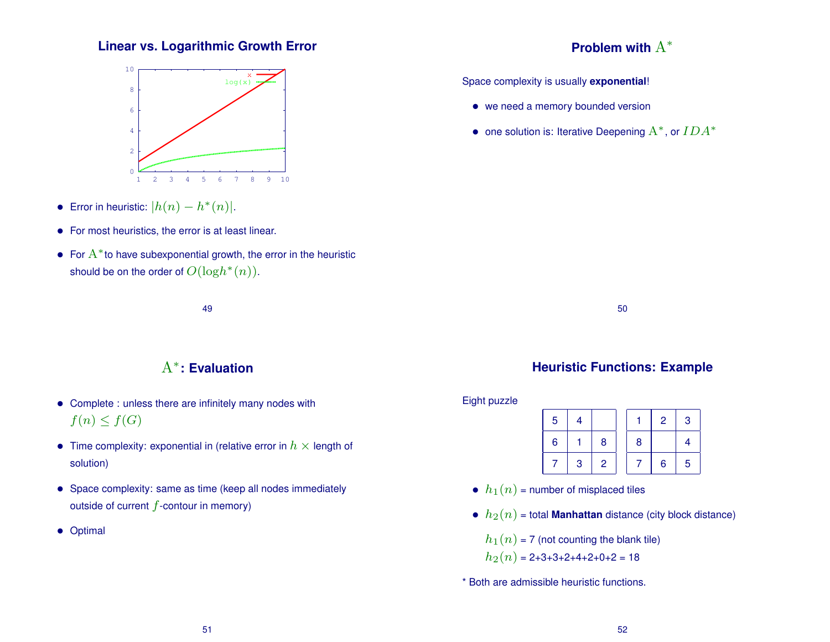# **Linear vs. Logarithmic Growth Error**



- Error in heuristic:  $|h(n) h^{*}(n)|$ .
- For most heuristics, the error is at least linear.
- For  $A^*$  to have subexponential growth, the error in the heuristic should be on the order of  $O(\mathrm{log}h^*(n)).$

49

# A<sup>∗</sup> **: Evaluation**

- Complete : unless there are infinitely many nodes with  $f(n) \leq f(G)$
- Time complexity: exponential in (relative error in  $h \times$  length of solution)
- Space complexity: same as time (keep all nodes immediately outside of current  $f$ -contour in memory)
- Optimal

# **Problem with** A<sup>∗</sup>

Space complexity is usually **exponential**!

- we need a memory bounded version
- one solution is: Iterative Deepening  $A^*$ , or  $IDA^*$

50

# **Heuristic Functions: Example**

Eight puzzle

| 5 | 4 |                |   | $\overline{2}$ | 3               |
|---|---|----------------|---|----------------|-----------------|
| 6 |   | 8              | 8 |                |                 |
|   | 3 | $\overline{2}$ |   | 6              | $5\phantom{.0}$ |

- $h_1(n)$  = number of misplaced tiles
- $h_2(n)$  = total **Manhattan** distance (city block distance)

 $h_1(n)$  = 7 (not counting the blank tile)

 $h_2(n) = 2+3+3+2+4+2+0+2 = 18$ 

\* Both are admissible heuristic functions.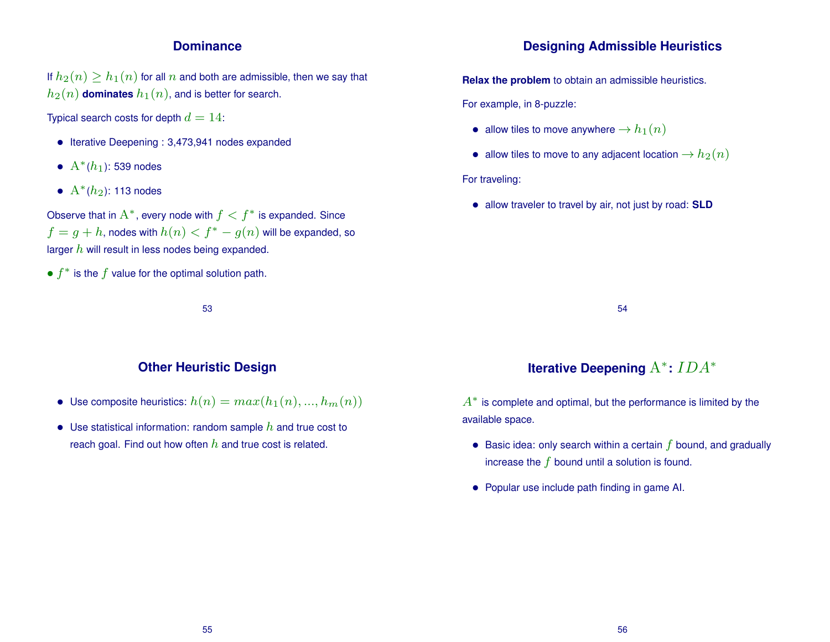### **Dominance**

If  $h_2(n) \ge h_1(n)$  for all n and both are admissible, then we say that  $h_2(n)$  **dominates**  $h_1(n)$ , and is better for search.

Typical search costs for depth  $d = 14$ :

- Iterative Deepening : 3,473,941 nodes expanded
- $A^*(h_1)$ : 539 nodes
- $A^*(h_2)$ : 113 nodes

Observe that in  $A^*$ , every node with  $f < f^*$  is expanded. Since  $f = g + h$ , nodes with  $h(n) < f^* - g(n)$  will be expanded, so larger  $h$  will result in less nodes being expanded.

•  $f^*$  is the  $f$  value for the optimal solution path.

53

### **Other Heuristic Design**

- Use composite heuristics:  $h(n) = max(h_1(n), ..., h_m(n))$
- Use statistical information: random sample  $h$  and true cost to reach goal. Find out how often  $h$  and true cost is related.

### **Designing Admissible Heuristics**

**Relax the problem** to obtain an admissible heuristics.

For example, in 8-puzzle:

- allow tiles to move anywhere  $\rightarrow h_1(n)$
- allow tiles to move to any adjacent location  $\rightarrow h_2(n)$

For traveling:

• allow traveler to travel by air, not just by road: **SLD**

54

# **Iterative Deepening** A<sup>∗</sup> **:** IDA<sup>∗</sup>

 $A^*$  is complete and optimal, but the performance is limited by the available space.

- Basic idea: only search within a certain  $f$  bound, and gradually increase the  $f$  bound until a solution is found.
- Popular use include path finding in game AI.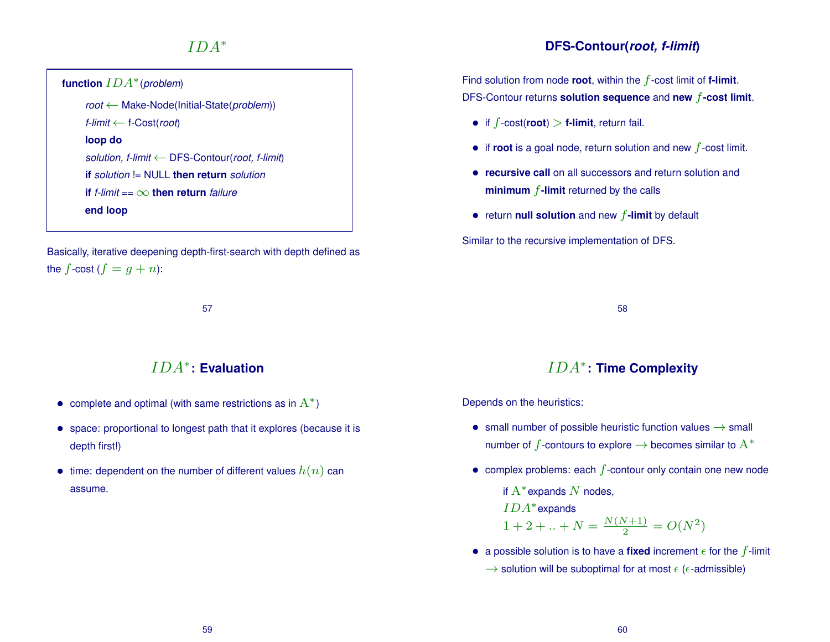# $IDA^*$

| function $IDA^*$ (problem)                                |  |
|-----------------------------------------------------------|--|
| $root \leftarrow Make-Node(Initial-State(problem))$       |  |
| f-limit $\leftarrow$ f-Cost(root)                         |  |
| loop do                                                   |  |
| solution, f-limit $\leftarrow$ DFS-Contour(root, f-limit) |  |
| <b>if</b> solution != NULL <b>then return</b> solution    |  |
| <b>if</b> f-limit == $\infty$ <b>then return</b> failure  |  |
| end loop                                                  |  |

Basically, iterative deepening depth-first-search with depth defined as the f-cost  $(f = g + n)$ :

57

# IDA<sup>∗</sup> **: Evaluation**

- complete and optimal (with same restrictions as in  $A^*$ )
- space: proportional to longest path that it explores (because it is depth first!)
- time: dependent on the number of different values  $h(n)$  can assume.

# **DFS-Contour(***root, f-limit***)**

Find solution from node **root**, within the  $f$ -cost limit of **f-limit**. DFS-Contour returns **solution sequence** and **new** f**-cost limit**.

- if  $f$ -cost(**root**) > **f-limit**, return fail.
- $\bullet$  if **root** is a goal node, return solution and new  $f$ -cost limit.
- **recursive call** on all successors and return solution and **minimum** f**-limit** returned by the calls
- return **null solution** and new f**-limit** by default

Similar to the recursive implementation of DFS.

58

# IDA<sup>∗</sup> **: Time Complexity**

Depends on the heuristics:

- small number of possible heuristic function values  $\rightarrow$  small number of f-contours to explore  $\rightarrow$  becomes similar to  $A^*$
- complex problems: each  $f$ -contour only contain one new node
	- if  $A^*$ expands  $N$  nodes,

 $IDA*$ expands

 $1+2+..+N=\frac{N(N+1)}{2}$  $\frac{N+1}{2} = O(N^2)$ 

• a possible solution is to have a **fixed** increment  $\epsilon$  for the  $f$ -limit

 $\rightarrow$  solution will be suboptimal for at most  $\epsilon$  ( $\epsilon$ -admissible)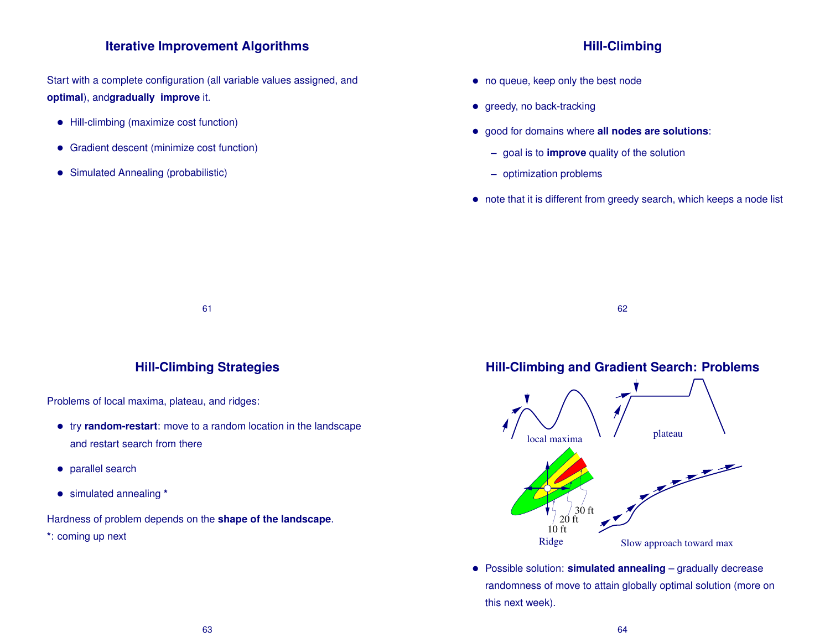### **Iterative Improvement Algorithms**

Start with a complete configuration (all variable values assigned, and **optimal**), and**gradually improve** it.

- Hill-climbing (maximize cost function)
- Gradient descent (minimize cost function)
- Simulated Annealing (probabilistic)

### **Hill-Climbing**

- no queue, keep only the best node
- greedy, no back-tracking
- good for domains where **all nodes are solutions**:
	- **–** goal is to **improve** quality of the solution
	- **–** optimization problems
- note that it is different from greedy search, which keeps a node list

61

### **Hill-Climbing Strategies**

Problems of local maxima, plateau, and ridges:

- try **random-restart**: move to a random location in the landscape and restart search from there
- parallel search
- simulated annealing **\***

Hardness of problem depends on the **shape of the landscape**.

**\***: coming up next

**Hill-Climbing and Gradient Search: Problems**

62



• Possible solution: **simulated annealing** – gradually decrease randomness of move to attain globally optimal solution (more on this next week).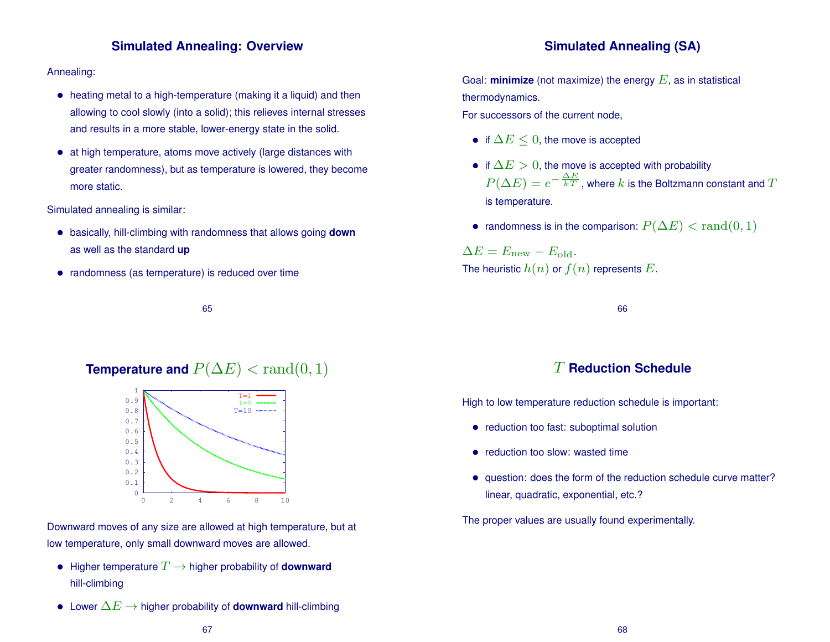# **Simulated Annealing: Overview**

#### Annealing:

- heating metal to a high-temperature (making it a liquid) and then allowing to cool slowly (into a solid); this relieves internal stresses and results in a more stable, lower-energy state in the solid.
- at high temperature, atoms move actively (large distances with greater randomness), but as temperature is lowered, they become more static.

Simulated annealing is similar:

- basically, hill-climbing with randomness that allows going **down** as well as the standard **up**
- randomness (as temperature) is reduced over time

65

## **Temperature and**  $P(\Delta E) < \text{rand}(0, 1)$



Downward moves of any size are allowed at high temperature, but at low temperature, only small downward moves are allowed.

- Higher temperature  $T \rightarrow$  higher probability of **downward** hill-climbing
- Lower ∆E → higher probability of **downward** hill-climbing

Goal: **minimize** (not maximize) the energy  $E$ , as in statistical thermodynamics.

For successors of the current node,

- if  $\Delta E \leq 0$ , the move is accepted
- if  $\Delta E > 0$ , the move is accepted with probability  $P(\Delta E)=e^{-\frac{\Delta E}{kT}}$  , where  $k$  is the Boltzmann constant and  $T$ is temperature.
- randomness is in the comparison:  $P(\Delta E) < \text{rand}(0, 1)$

 $\Delta E = E_{\text{new}} - E_{\text{old}}.$ The heuristic  $h(n)$  or  $f(n)$  represents E.

66

# T **Reduction Schedule**

High to low temperature reduction schedule is important:

- reduction too fast: suboptimal solution
- reduction too slow: wasted time
- question: does the form of the reduction schedule curve matter? linear, quadratic, exponential, etc.?

The proper values are usually found experimentally.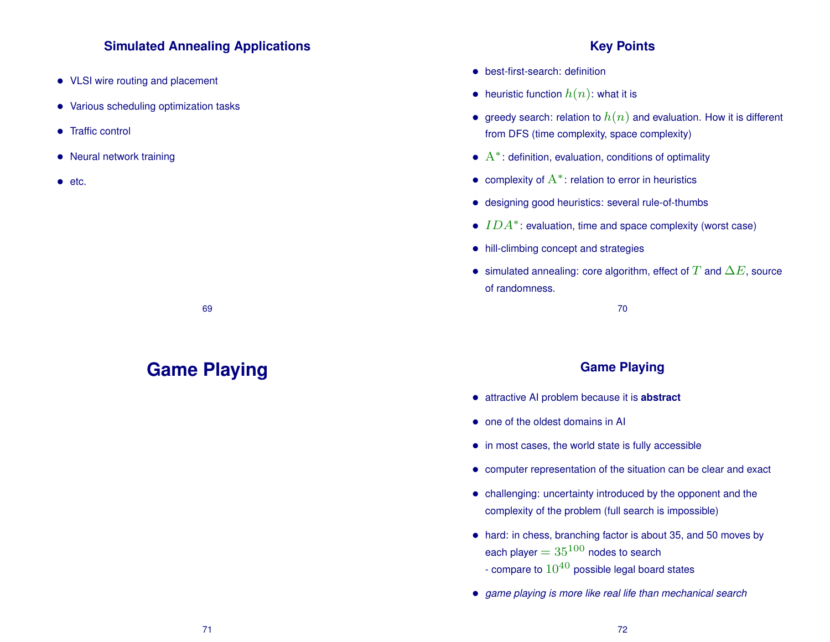### **Simulated Annealing Applications**

- VLSI wire routing and placement
- Various scheduling optimization tasks
- Traffic control
- Neural network training
- etc.

69

# **Game Playing**

### **Key Points**

- best-first-search: definition
- heuristic function  $h(n)$ : what it is
- greedy search: relation to  $h(n)$  and evaluation. How it is different from DFS (time complexity, space complexity)
- $A^*$ : definition, evaluation, conditions of optimality
- complexity of  $A^*$ : relation to error in heuristics
- designing good heuristics: several rule-of-thumbs
- $IDA^*$ : evaluation, time and space complexity (worst case)
- hill-climbing concept and strategies
- simulated annealing: core algorithm, effect of  $T$  and  $\Delta E$ , source of randomness.

70

### **Game Playing**

- attractive AI problem because it is **abstract**
- one of the oldest domains in AI
- in most cases, the world state is fully accessible
- computer representation of the situation can be clear and exact
- challenging: uncertainty introduced by the opponent and the complexity of the problem (full search is impossible)
- hard: in chess, branching factor is about 35, and 50 moves by each player  $= 35^{100}$  nodes to search - compare to  $10^{40}$  possible legal board states
- *game playing is more like real life than mechanical search*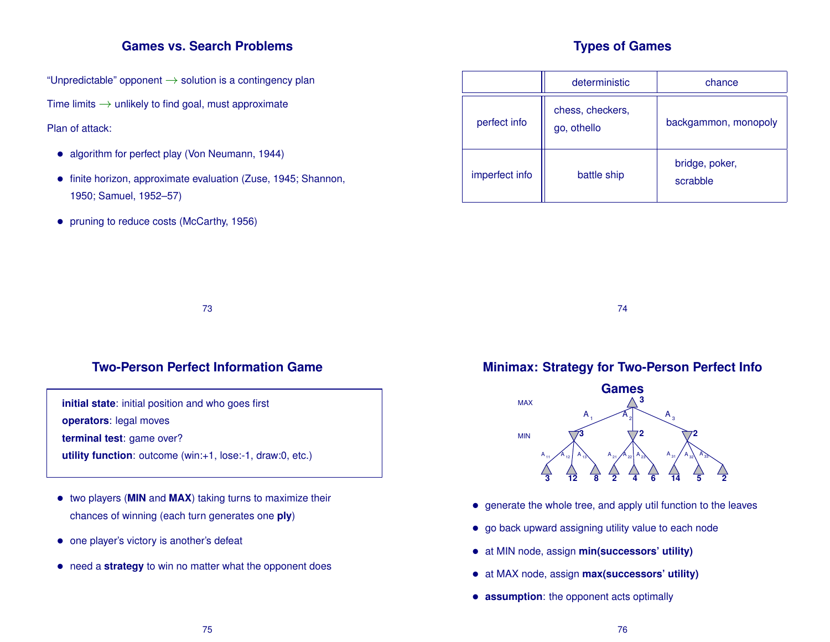### **Games vs. Search Problems**

"Unpredictable" opponent  $\rightarrow$  solution is a contingency plan

Time limits  $\rightarrow$  unlikely to find goal, must approximate

#### Plan of attack:

- algorithm for perfect play (Von Neumann, 1944)
- finite horizon, approximate evaluation (Zuse, 1945; Shannon, 1950; Samuel, 1952–57)
- pruning to reduce costs (McCarthy, 1956)

# **Types of Games**

|                | deterministic                   | chance                     |  |  |  |
|----------------|---------------------------------|----------------------------|--|--|--|
| perfect info   | chess, checkers,<br>go, othello | backgammon, monopoly       |  |  |  |
| imperfect info | battle ship                     | bridge, poker,<br>scrabble |  |  |  |

73

# **Two-Person Perfect Information Game**

**initial state**: initial position and who goes first

**operators**: legal moves

**terminal test**: game over?

**utility function**: outcome (win:+1, lose:-1, draw:0, etc.)

- two players (**MIN** and **MAX**) taking turns to maximize their chances of winning (each turn generates one **ply**)
- one player's victory is another's defeat
- need a **strategy** to win no matter what the opponent does

**Minimax: Strategy for Two-Person Perfect Info**

74



- generate the whole tree, and apply util function to the leaves
- go back upward assigning utility value to each node
- at MIN node, assign **min(successors' utility)**
- at MAX node, assign **max(successors' utility)**
- **assumption**: the opponent acts optimally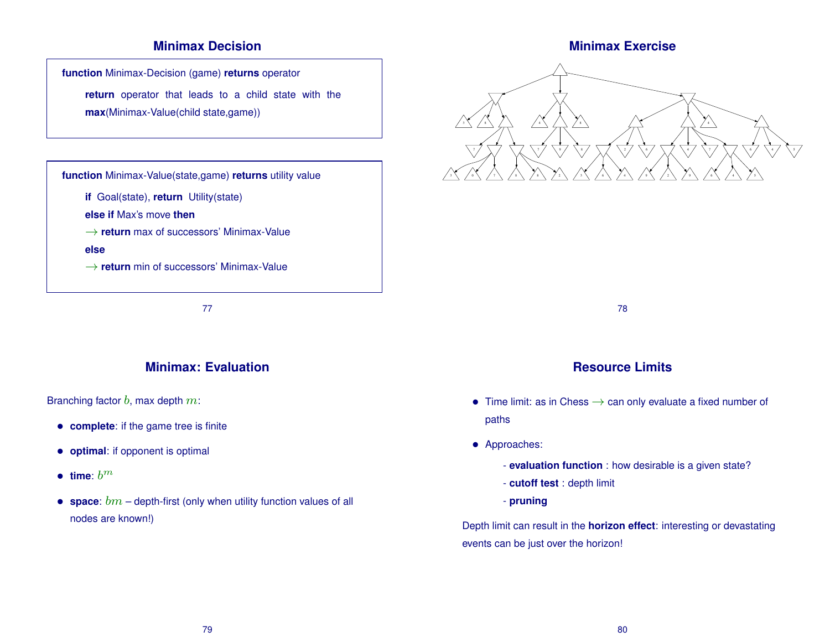# **Minimax Decision**

**function** Minimax-Decision (game) **returns** operator

**return** operator that leads to a child state with the **max**(Minimax-Value(child state,game))



77

# **Minimax: Evaluation**

Branching factor  $b$ , max depth  $m$ :

- **complete**: if the game tree is finite
- **optimal**: if opponent is optimal
- **time**:  $b^m$
- **space**:  $bm -$  depth-first (only when utility function values of all nodes are known!)





78

# **Resource Limits**

- Time limit: as in Chess  $\rightarrow$  can only evaluate a fixed number of paths
- Approaches:
	- **evaluation function** : how desirable is a given state?
	- **cutoff test** : depth limit
	- **pruning**

Depth limit can result in the **horizon effect**: interesting or devastating events can be just over the horizon!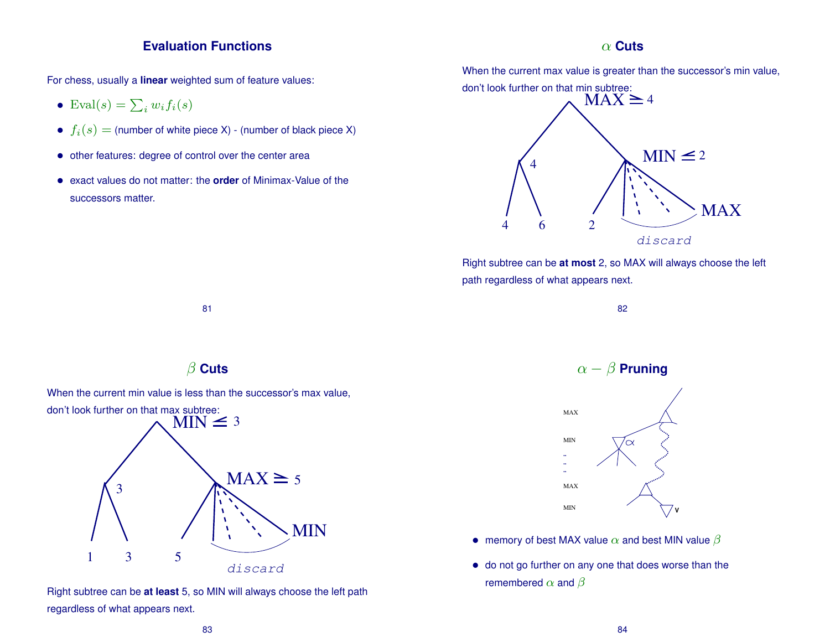### **Evaluation Functions**

For chess, usually a **linear** weighted sum of feature values:

- Eval $(s) = \sum_i w_i f_i(s)$
- $f_i(s) =$  (number of white piece X) (number of black piece X)
- other features: degree of control over the center area
- exact values do not matter: the **order** of Minimax-Value of the successors matter.

### α **Cuts**

When the current max value is greater than the successor's min value,



Right subtree can be **at most** 2, so MAX will always choose the left path regardless of what appears next.



81



When the current min value is less than the successor's max value,



Right subtree can be **at least** 5, so MIN will always choose the left path regardless of what appears next.





- memory of best MAX value  $\alpha$  and best MIN value  $\beta$
- do not go further on any one that does worse than the remembered  $\alpha$  and  $\beta$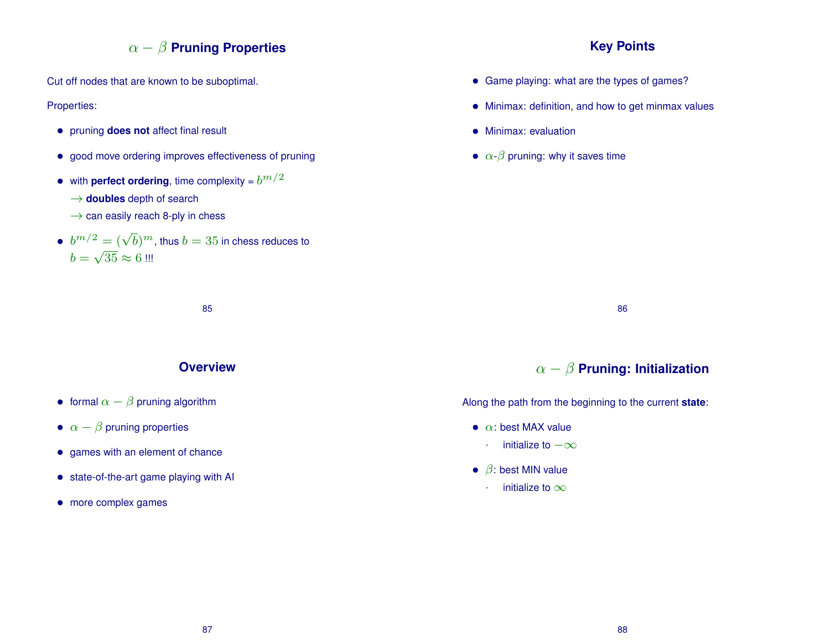# α − β **Pruning Properties**

Cut off nodes that are known to be suboptimal.

Properties:

- pruning **does not** affect final result
- good move ordering improves effectiveness of pruning
- with **perfect ordering**, time complexity =  $b^{m/2}$ 
	- $\rightarrow$  **doubles** depth of search
	- $\rightarrow$  can easily reach 8-ply in chess
- $\bullet~~ b^{m/2} = (\sqrt{b})^m$ , thus  $b=35$  in chess reduces to  $b = \sqrt{35} \approx 6$  !!!

# **Key Points**

- Game playing: what are the types of games?
- Minimax: definition, and how to get minmax values
- Minimax: evaluation
- $\alpha$ - $\beta$  pruning: why it saves time

### **Overview**

85

- formal  $\alpha \beta$  pruning algorithm
- $\alpha \beta$  pruning properties
- games with an element of chance
- state-of-the-art game playing with AI
- more complex games

86

# α − β **Pruning: Initialization**

Along the path from the beginning to the current **state**:

- $\bullet$   $\alpha$ : best MAX value
	- $\cdot$  initialize to  $-\infty$
- $\beta$ : best MIN value
	- initialize to  $\infty$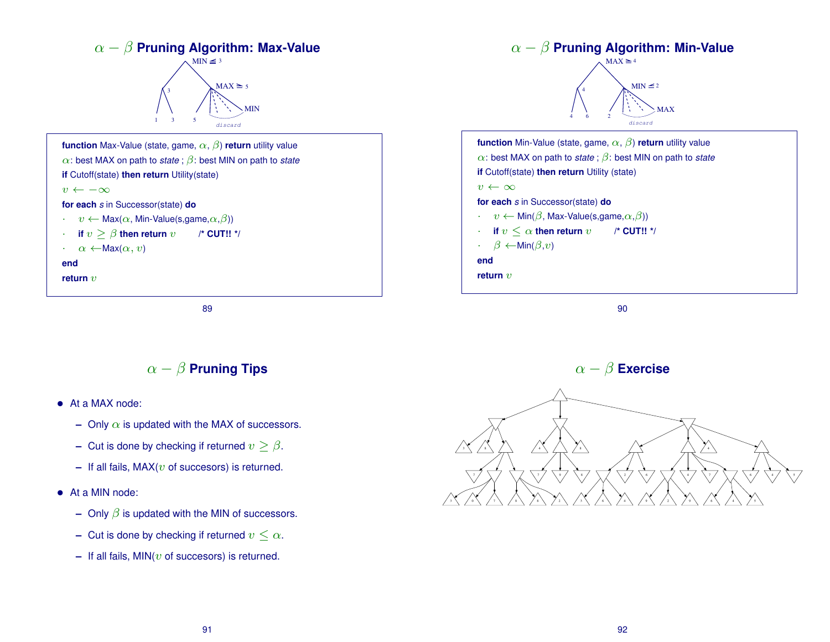

89

# $\alpha - \beta$  **Pruning Tips**

- At a MAX node:
	- **–** Only  $\alpha$  is updated with the MAX of successors.
	- **–** Cut is done by checking if returned  $v > \beta$ .
	- $-$  If all fails,  $MAX(v$  of succesors) is returned.
- At a MIN node:
	- **–** Only β is updated with the MIN of successors.
	- **–** Cut is done by checking if returned  $v \leq \alpha$ .
	- $-$  If all fails, MIN( $v$  of succesors) is returned.

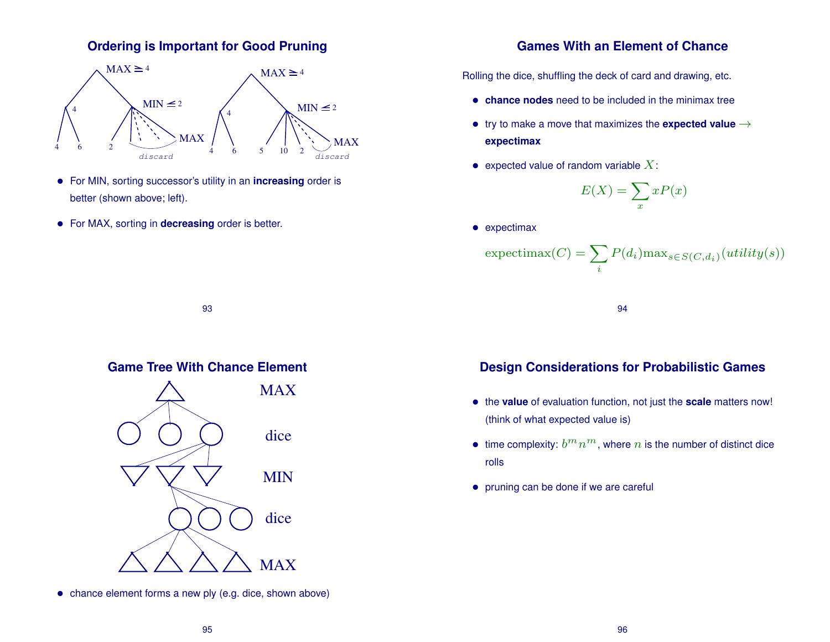# **Ordering is Important for Good Pruning**



- For MIN, sorting successor's utility in an **increasing** order is better (shown above; left).
- For MAX, sorting in **decreasing** order is better.

# **Games With an Element of Chance**

Rolling the dice, shuffling the deck of card and drawing, etc.

- **chance nodes** need to be included in the minimax tree
- try to make a move that maximizes the **expected value** → **expectimax**
- expected value of random variable  $X$ :

$$
E(X) = \sum_{x} xP(x)
$$

• expectimax

$$
\text{expectimax}(C) = \sum_{i} P(d_i) \max_{s \in S(C, d_i)} (utility(s))
$$

94

# **Game Tree With Chance Element**

93



# **Design Considerations for Probabilistic Games**

- the **value** of evaluation function, not just the **scale** matters now! (think of what expected value is)
- time complexity:  $b^m n^m$ , where  $n$  is the number of distinct dice rolls
- pruning can be done if we are careful

• chance element forms a new ply (e.g. dice, shown above)